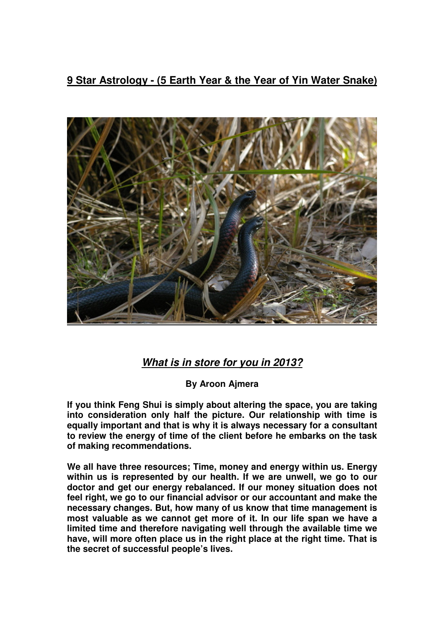**9 Star Astrology - (5 Earth Year & the Year of Yin Water Snake)**



## **What is in store for you in 2013?**

**By Aroon Ajmera** 

**If you think Feng Shui is simply about altering the space, you are taking into consideration only half the picture. Our relationship with time is equally important and that is why it is always necessary for a consultant to review the energy of time of the client before he embarks on the task of making recommendations.** 

**We all have three resources; Time, money and energy within us. Energy within us is represented by our health. If we are unwell, we go to our doctor and get our energy rebalanced. If our money situation does not feel right, we go to our financial advisor or our accountant and make the necessary changes. But, how many of us know that time management is most valuable as we cannot get more of it. In our life span we have a limited time and therefore navigating well through the available time we have, will more often place us in the right place at the right time. That is the secret of successful people's lives.**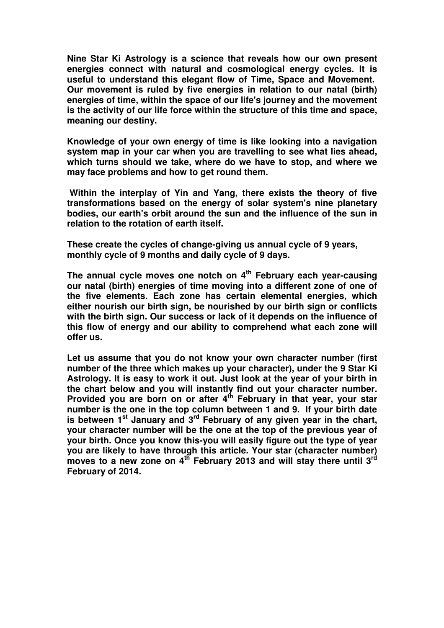**Nine Star Ki Astrology is a science that reveals how our own present energies connect with natural and cosmological energy cycles. It is useful to understand this elegant flow of Time, Space and Movement. Our movement is ruled by five energies in relation to our natal (birth) energies of time, within the space of our life's journey and the movement is the activity of our life force within the structure of this time and space, meaning our destiny.** 

**Knowledge of your own energy of time is like looking into a navigation system map in your car when you are travelling to see what lies ahead, which turns should we take, where do we have to stop, and where we may face problems and how to get round them.** 

 **Within the interplay of Yin and Yang, there exists the theory of five transformations based on the energy of solar system's nine planetary bodies, our earth's orbit around the sun and the influence of the sun in relation to the rotation of earth itself.** 

**These create the cycles of change-giving us annual cycle of 9 years, monthly cycle of 9 months and daily cycle of 9 days.** 

**The annual cycle moves one notch on 4th February each year-causing our natal (birth) energies of time moving into a different zone of one of the five elements. Each zone has certain elemental energies, which either nourish our birth sign, be nourished by our birth sign or conflicts with the birth sign. Our success or lack of it depends on the influence of this flow of energy and our ability to comprehend what each zone will offer us.** 

**Let us assume that you do not know your own character number (first number of the three which makes up your character), under the 9 Star Ki Astrology. It is easy to work it out. Just look at the year of your birth in the chart below and you will instantly find out your character number. Provided you are born on or after 4th February in that year, your star number is the one in the top column between 1 and 9. If your birth date is between 1st January and 3rd February of any given year in the chart, your character number will be the one at the top of the previous year of your birth. Once you know this-you will easily figure out the type of year you are likely to have through this article. Your star (character number) moves to a new zone on 4th February 2013 and will stay there until 3rd February of 2014.**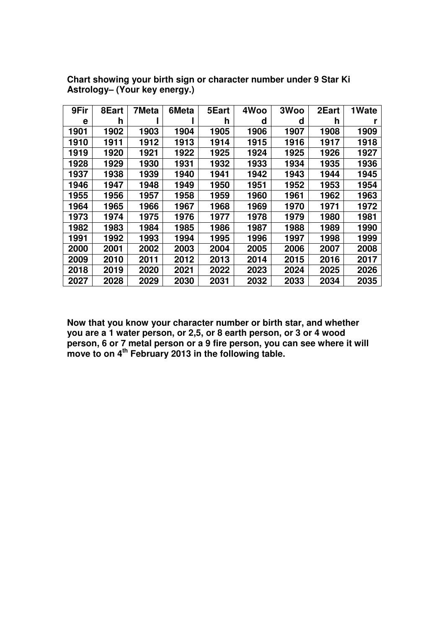| 9Fir | 8Eart | 7Meta | 6Meta | 5Eart | 4Woo | 3Woo | 2Eart | 1Wate |
|------|-------|-------|-------|-------|------|------|-------|-------|
| е    | h     |       |       | h     | d    | d    | h     |       |
| 1901 | 1902  | 1903  | 1904  | 1905  | 1906 | 1907 | 1908  | 1909  |
| 1910 | 1911  | 1912  | 1913  | 1914  | 1915 | 1916 | 1917  | 1918  |
| 1919 | 1920  | 1921  | 1922  | 1925  | 1924 | 1925 | 1926  | 1927  |
| 1928 | 1929  | 1930  | 1931  | 1932  | 1933 | 1934 | 1935  | 1936  |
| 1937 | 1938  | 1939  | 1940  | 1941  | 1942 | 1943 | 1944  | 1945  |
| 1946 | 1947  | 1948  | 1949  | 1950  | 1951 | 1952 | 1953  | 1954  |
| 1955 | 1956  | 1957  | 1958  | 1959  | 1960 | 1961 | 1962  | 1963  |
| 1964 | 1965  | 1966  | 1967  | 1968  | 1969 | 1970 | 1971  | 1972  |
| 1973 | 1974  | 1975  | 1976  | 1977  | 1978 | 1979 | 1980  | 1981  |
| 1982 | 1983  | 1984  | 1985  | 1986  | 1987 | 1988 | 1989  | 1990  |
| 1991 | 1992  | 1993  | 1994  | 1995  | 1996 | 1997 | 1998  | 1999  |
| 2000 | 2001  | 2002  | 2003  | 2004  | 2005 | 2006 | 2007  | 2008  |
| 2009 | 2010  | 2011  | 2012  | 2013  | 2014 | 2015 | 2016  | 2017  |
| 2018 | 2019  | 2020  | 2021  | 2022  | 2023 | 2024 | 2025  | 2026  |
| 2027 | 2028  | 2029  | 2030  | 2031  | 2032 | 2033 | 2034  | 2035  |

**Chart showing your birth sign or character number under 9 Star Ki Astrology– (Your key energy.)** 

**Now that you know your character number or birth star, and whether you are a 1 water person, or 2,5, or 8 earth person, or 3 or 4 wood person, 6 or 7 metal person or a 9 fire person, you can see where it will move to on 4th February 2013 in the following table.**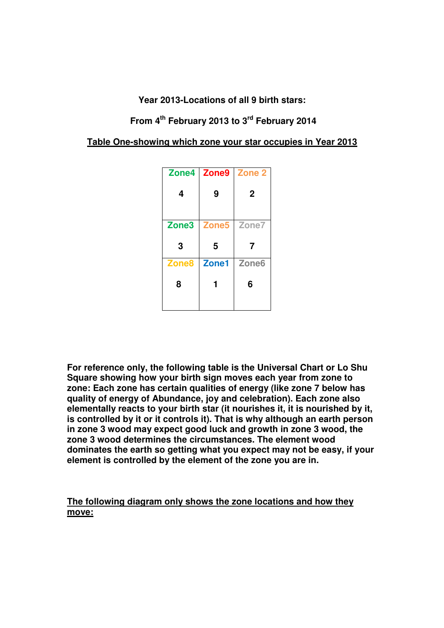**Year 2013-Locations of all 9 birth stars:** 

 **From 4th February 2013 to 3rd February 2014** 

**Table One-showing which zone your star occupies in Year 2013**

| Zone4             | Zone9             | Zone 2            |  |
|-------------------|-------------------|-------------------|--|
| 4                 | 9                 | $\mathbf 2$       |  |
|                   |                   |                   |  |
| Zone <sub>3</sub> | Zone <sub>5</sub> | Zone7             |  |
|                   |                   |                   |  |
| 3                 | 5                 | 7                 |  |
| Zone <sub>8</sub> | Zone1             | Zone <sub>6</sub> |  |
| 8                 |                   | 6                 |  |

**For reference only, the following table is the Universal Chart or Lo Shu Square showing how your birth sign moves each year from zone to zone: Each zone has certain qualities of energy (like zone 7 below has quality of energy of Abundance, joy and celebration). Each zone also elementally reacts to your birth star (it nourishes it, it is nourished by it, is controlled by it or it controls it). That is why although an earth person in zone 3 wood may expect good luck and growth in zone 3 wood, the zone 3 wood determines the circumstances. The element wood dominates the earth so getting what you expect may not be easy, if your element is controlled by the element of the zone you are in.** 

**The following diagram only shows the zone locations and how they move:**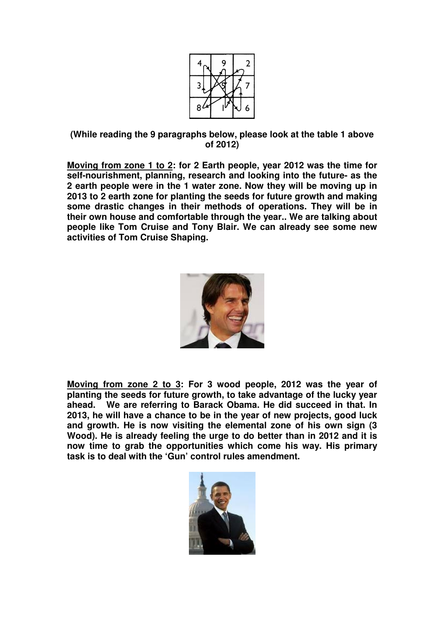

**(While reading the 9 paragraphs below, please look at the table 1 above of 2012)** 

**Moving from zone 1 to 2: for 2 Earth people, year 2012 was the time for self-nourishment, planning, research and looking into the future- as the 2 earth people were in the 1 water zone. Now they will be moving up in 2013 to 2 earth zone for planting the seeds for future growth and making some drastic changes in their methods of operations. They will be in their own house and comfortable through the year.. We are talking about people like Tom Cruise and Tony Blair. We can already see some new activities of Tom Cruise Shaping.** 



**Moving from zone 2 to 3: For 3 wood people, 2012 was the year of planting the seeds for future growth, to take advantage of the lucky year ahead. We are referring to Barack Obama. He did succeed in that. In 2013, he will have a chance to be in the year of new projects, good luck and growth. He is now visiting the elemental zone of his own sign (3 Wood). He is already feeling the urge to do better than in 2012 and it is now time to grab the opportunities which come his way. His primary task is to deal with the 'Gun' control rules amendment.** 

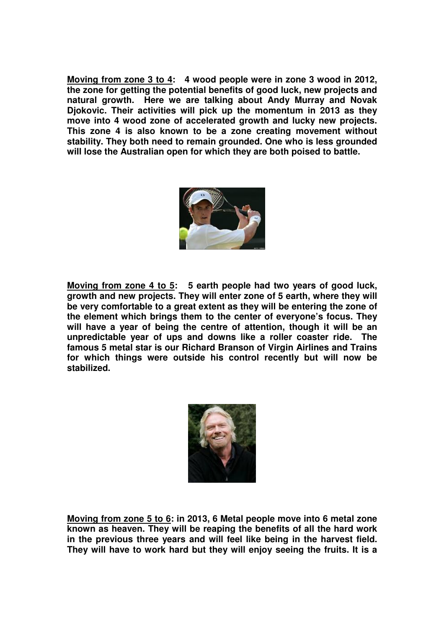**Moving from zone 3 to 4: 4 wood people were in zone 3 wood in 2012, the zone for getting the potential benefits of good luck, new projects and natural growth. Here we are talking about Andy Murray and Novak Djokovic. Their activities will pick up the momentum in 2013 as they move into 4 wood zone of accelerated growth and lucky new projects. This zone 4 is also known to be a zone creating movement without stability. They both need to remain grounded. One who is less grounded will lose the Australian open for which they are both poised to battle.** 



**Moving from zone 4 to 5: 5 earth people had two years of good luck, growth and new projects. They will enter zone of 5 earth, where they will be very comfortable to a great extent as they will be entering the zone of the element which brings them to the center of everyone's focus. They will have a year of being the centre of attention, though it will be an unpredictable year of ups and downs like a roller coaster ride. The famous 5 metal star is our Richard Branson of Virgin Airlines and Trains for which things were outside his control recently but will now be stabilized.** 



**Moving from zone 5 to 6: in 2013, 6 Metal people move into 6 metal zone known as heaven. They will be reaping the benefits of all the hard work in the previous three years and will feel like being in the harvest field. They will have to work hard but they will enjoy seeing the fruits. It is a**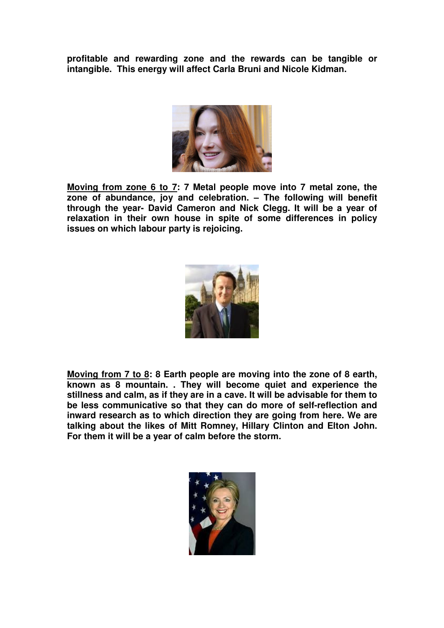**profitable and rewarding zone and the rewards can be tangible or intangible. This energy will affect Carla Bruni and Nicole Kidman.** 



**Moving from zone 6 to 7: 7 Metal people move into 7 metal zone, the zone of abundance, joy and celebration. – The following will benefit through the year- David Cameron and Nick Clegg. It will be a year of relaxation in their own house in spite of some differences in policy issues on which labour party is rejoicing.** 



**Moving from 7 to 8: 8 Earth people are moving into the zone of 8 earth, known as 8 mountain. . They will become quiet and experience the stillness and calm, as if they are in a cave. It will be advisable for them to be less communicative so that they can do more of self-reflection and inward research as to which direction they are going from here. We are talking about the likes of Mitt Romney, Hillary Clinton and Elton John. For them it will be a year of calm before the storm.** 

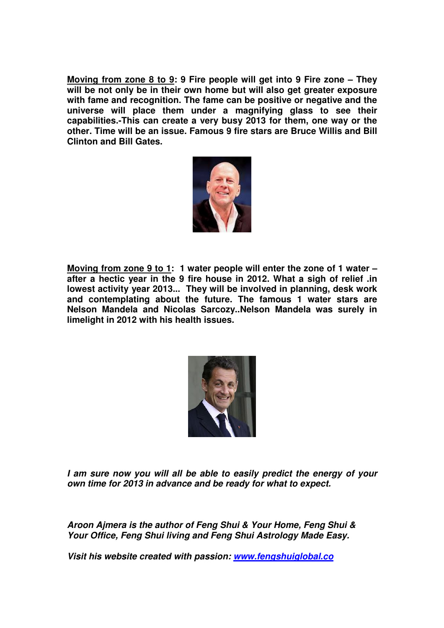**Moving from zone 8 to 9: 9 Fire people will get into 9 Fire zone – They will be not only be in their own home but will also get greater exposure with fame and recognition. The fame can be positive or negative and the universe will place them under a magnifying glass to see their capabilities.-This can create a very busy 2013 for them, one way or the other. Time will be an issue. Famous 9 fire stars are Bruce Willis and Bill Clinton and Bill Gates.** 



**Moving from zone 9 to 1: 1 water people will enter the zone of 1 water – after a hectic year in the 9 fire house in 2012. What a sigh of relief .in lowest activity year 2013... They will be involved in planning, desk work and contemplating about the future. The famous 1 water stars are Nelson Mandela and Nicolas Sarcozy..Nelson Mandela was surely in limelight in 2012 with his health issues.** 



**I am sure now you will all be able to easily predict the energy of your own time for 2013 in advance and be ready for what to expect.** 

**Aroon Ajmera is the author of Feng Shui & Your Home, Feng Shui & Your Office, Feng Shui living and Feng Shui Astrology Made Easy.** 

**Visit his website created with passion: www.fengshuiglobal.co**